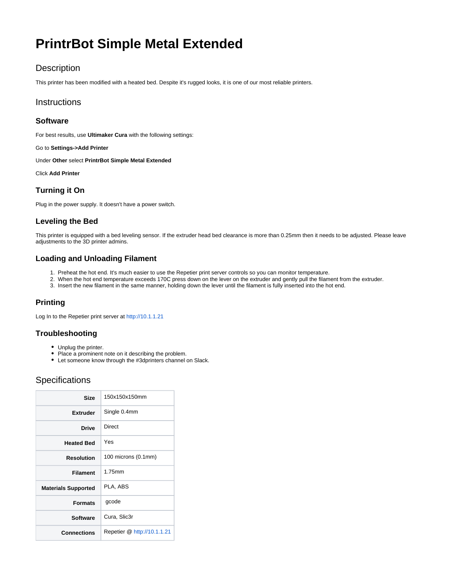# **PrintrBot Simple Metal Extended**

# **Description**

This printer has been modified with a heated bed. Despite it's rugged looks, it is one of our most reliable printers.

## **Instructions**

#### **Software**

For best results, use **Ultimaker Cura** with the following settings:

Go to **Settings->Add Printer**

Under **Other** select **PrintrBot Simple Metal Extended**

Click **Add Printer**

## **Turning it On**

Plug in the power supply. It doesn't have a power switch.

### **Leveling the Bed**

This printer is equipped with a bed leveling sensor. If the extruder head bed clearance is more than 0.25mm then it needs to be adjusted. Please leave adjustments to the 3D printer admins.

#### **Loading and Unloading Filament**

- 1. Preheat the hot end. It's much easier to use the Repetier print server controls so you can monitor temperature.
- 2. When the hot end temperature exceeds 170C press down on the lever on the extruder and gently pull the filament from the extruder.
- 3. Insert the new filament in the same manner, holding down the lever until the filament is fully inserted into the hot end.

## **Printing**

Log In to the Repetier print server at<http://10.1.1.21>

#### **Troubleshooting**

- Unplug the printer.
- Place a prominent note on it describing the problem.
- Let someone know through the #3dprinters channel on Slack.

# **Specifications**

| Size                       | 150x150x150mm               |
|----------------------------|-----------------------------|
| <b>Extruder</b>            | Single 0.4mm                |
| <b>Drive</b>               | Direct                      |
| <b>Heated Bed</b>          | Yes                         |
| Resolution                 | 100 microns (0.1mm)         |
| <b>Filament</b>            | 1.75mm                      |
| <b>Materials Supported</b> | PLA, ABS                    |
| <b>Formats</b>             | gcode                       |
| <b>Software</b>            | Cura, Slic3r                |
| Connections                | Repetier @ http://10.1.1.21 |